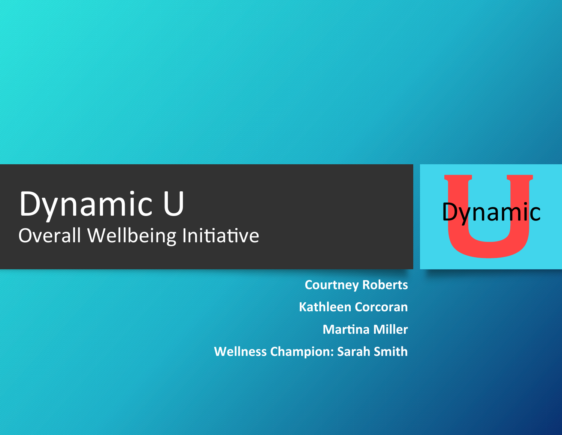# Dynamic U Overall Wellbeing Initiative

**Courtney Roberts Kathleen Corcoran Martina Miller Wellness Champion: Sarah Smith** 

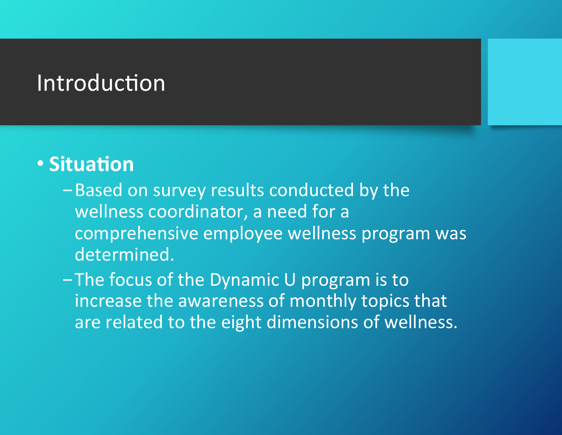## Introduction

## **• Situation**

- -Based on survey results conducted by the wellness coordinator, a need for a comprehensive employee wellness program was determined.
- $-$  The focus of the Dynamic U program is to increase the awareness of monthly topics that are related to the eight dimensions of wellness.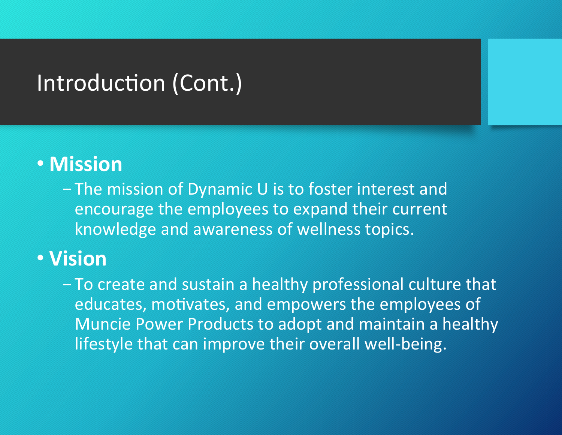## Introduction (Cont.)

## • **Mission**

- The mission of Dynamic U is to foster interest and encourage the employees to expand their current knowledge and awareness of wellness topics.

## • **Vision**

- To create and sustain a healthy professional culture that educates, motivates, and empowers the employees of Muncie Power Products to adopt and maintain a healthy lifestyle that can improve their overall well-being.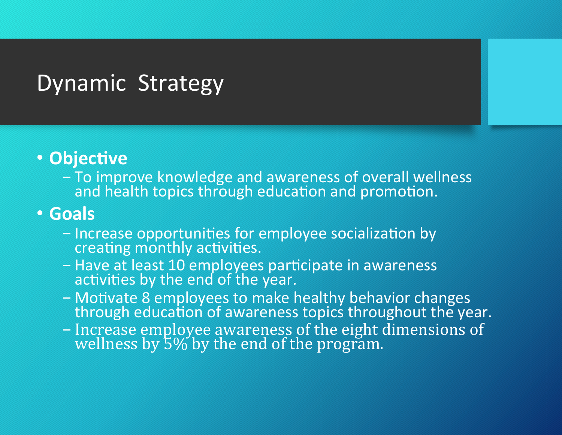## Dynamic Strategy

#### **• Objective**

- To improve knowledge and awareness of overall wellness and health topics through education and promotion.

#### • **Goals**

- Increase opportunities for employee socialization by creating monthly activities.
- Have at least 10 employees participate in awareness activities by the end of the year.
- Motivate 8 employees to make healthy behavior changes through education of awareness topics throughout the year.
- Increase employee awareness of the eight dimensions of wellness by  $5\%$  by the end of the program.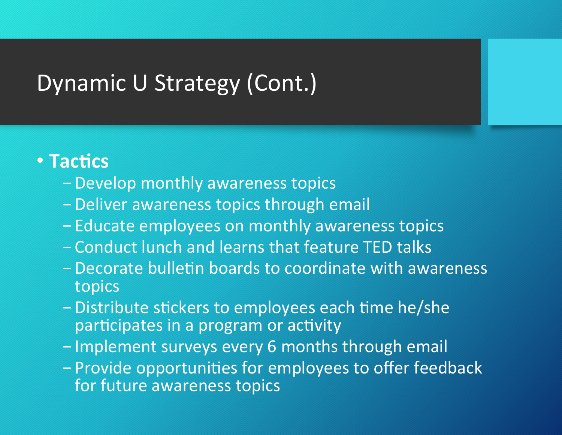# Dynamic U Strategy (Cont.)

#### **• Tactics**

- Develop monthly awareness topics
- Deliver awareness topics through email
- Educate employees on monthly awareness topics
- Conduct lunch and learns that feature TED talks
- Decorate bulletin boards to coordinate with awareness topics
- Distribute stickers to employees each time he/she participates in a program or activity
- Implement surveys every 6 months through email
- Provide opportunities for employees to offer feedback for future awareness topics